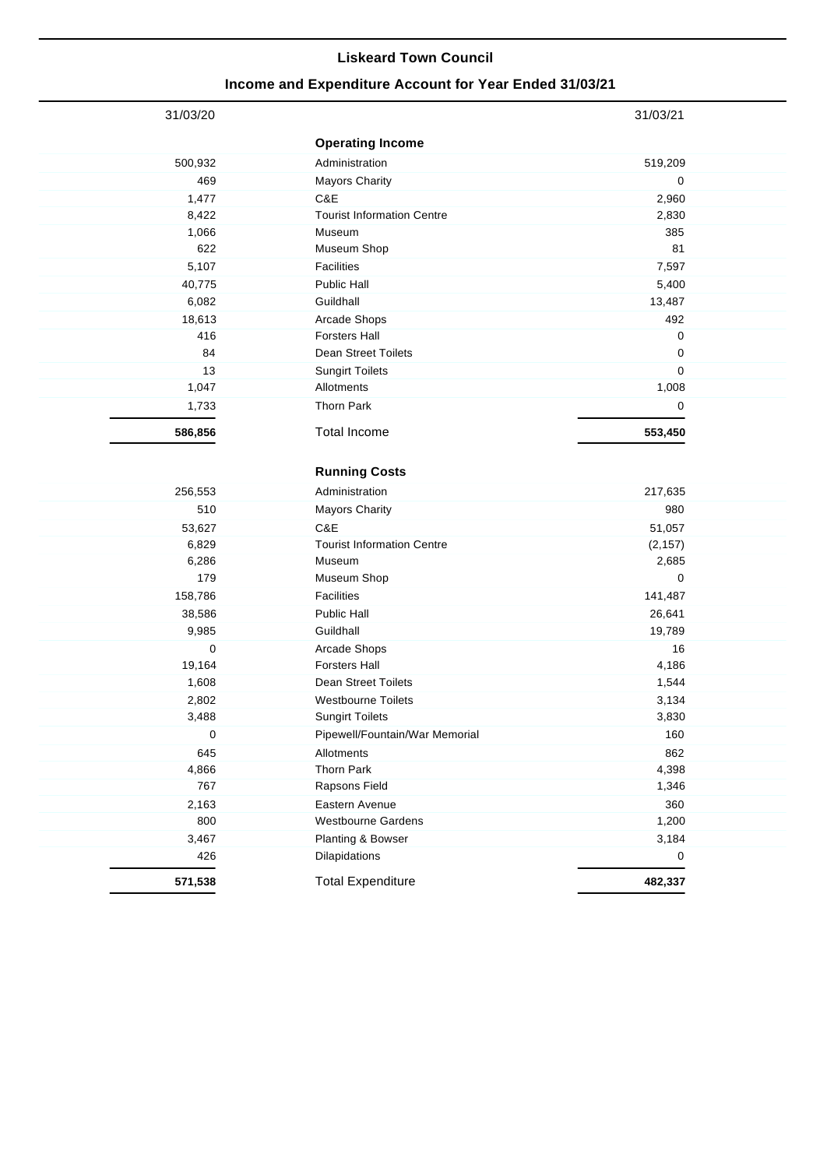## **Liskeard Town Council**

## **Income and Expenditure Account for Year Ended 31/03/21**

| 31/03/20 |                                   | 31/03/21  |
|----------|-----------------------------------|-----------|
|          | <b>Operating Income</b>           |           |
| 500,932  | Administration                    | 519,209   |
| 469      | <b>Mayors Charity</b>             | 0         |
| 1,477    | C&E                               | 2,960     |
| 8,422    | <b>Tourist Information Centre</b> | 2,830     |
| 1,066    | Museum                            | 385       |
| 622      | Museum Shop                       | 81        |
| 5,107    | <b>Facilities</b>                 | 7,597     |
| 40,775   | Public Hall                       | 5,400     |
| 6,082    | Guildhall                         | 13,487    |
| 18,613   | Arcade Shops                      | 492       |
| 416      | <b>Forsters Hall</b>              | $\pmb{0}$ |
| 84       | Dean Street Toilets               | 0         |
| 13       | <b>Sungirt Toilets</b>            | 0         |
| 1,047    | Allotments                        | 1,008     |
| 1,733    | <b>Thorn Park</b>                 | 0         |
| 586,856  | <b>Total Income</b>               | 553,450   |
|          |                                   |           |
|          | <b>Running Costs</b>              |           |
| 256,553  | Administration                    | 217,635   |
| 510      | <b>Mayors Charity</b>             | 980       |
| 53,627   | C&E                               | 51,057    |
| 6,829    | <b>Tourist Information Centre</b> | (2, 157)  |
| 6,286    | Museum                            | 2,685     |
| 179      | Museum Shop                       | 0         |
| 158,786  | <b>Facilities</b>                 | 141,487   |
| 38,586   | Public Hall                       | 26,641    |
| 9,985    | Guildhall                         | 19,789    |
| 0        | Arcade Shops                      | 16        |
| 19,164   | <b>Forsters Hall</b>              | 4,186     |
| 1,608    | <b>Dean Street Toilets</b>        | 1,544     |
| 2,802    | <b>Westbourne Toilets</b>         | 3,134     |
| 3,488    | <b>Sungirt Toilets</b>            | 3,830     |
| 0        | Pipewell/Fountain/War Memorial    | 160       |
| 645      | Allotments                        | 862       |
| 4,866    | Thorn Park                        | 4,398     |
| 767      | Rapsons Field                     | 1,346     |
| 2,163    | Eastern Avenue                    | 360       |
| 800      | <b>Westbourne Gardens</b>         | 1,200     |
| 3,467    | Planting & Bowser                 | 3,184     |
| 426      | Dilapidations                     | 0         |
| 571,538  | <b>Total Expenditure</b>          | 482,337   |
|          |                                   |           |